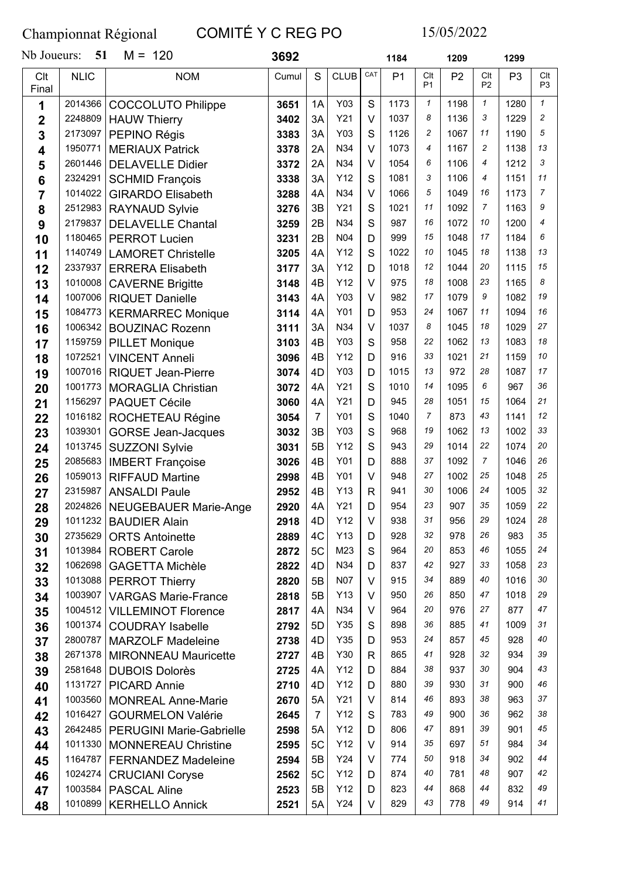## Championnat Régional COMITÉ Y C REG PO 15/05/2022

| Nb Joueurs:    | 51                 | $M = 120$                                             | 3692         |                |             |              | 1184           |                       | 1209           |                       | 1299           |                       |
|----------------|--------------------|-------------------------------------------------------|--------------|----------------|-------------|--------------|----------------|-----------------------|----------------|-----------------------|----------------|-----------------------|
| Clt<br>Final   | <b>NLIC</b>        | <b>NOM</b>                                            | Cumul        | S              | <b>CLUB</b> | CAT          | P <sub>1</sub> | Clt<br>P <sub>1</sub> | P <sub>2</sub> | Clt<br>P <sub>2</sub> | P <sub>3</sub> | Clt<br>P <sub>3</sub> |
| 1              | 2014366            | <b>COCCOLUTO Philippe</b>                             | 3651         | 1A             | Y03         | S            | 1173           | $\mathbf{1}$          | 1198           | $\mathbf{1}$          | 1280           | $\mathbf{1}$          |
| $\overline{2}$ | 2248809            | <b>HAUW Thierry</b>                                   | 3402         | 3A             | Y21         | $\vee$       | 1037           | 8                     | 1136           | 3                     | 1229           | $\overline{c}$        |
| 3              | 2173097            | PEPINO Régis                                          | 3383         | 3A             | Y03         | S            | 1126           | 2                     | 1067           | 11                    | 1190           | 5                     |
| 4              | 1950771            | <b>MERIAUX Patrick</b>                                | 3378         | 2A             | N34         | $\vee$       | 1073           | $\overline{4}$        | 1167           | 2                     | 1138           | 13                    |
| 5              | 2601446            | <b>DELAVELLE Didier</b>                               | 3372         | 2A             | N34         | $\vee$       | 1054           | 6                     | 1106           | 4                     | 1212           | 3                     |
| 6              | 2324291            | <b>SCHMID François</b>                                | 3338         | 3A             | Y12         | S            | 1081           | 3                     | 1106           | 4                     | 1151           | 11                    |
| 7              | 1014022            | <b>GIRARDO Elisabeth</b>                              | 3288         | 4A             | N34         | $\vee$       | 1066           | 5                     | 1049           | 16                    | 1173           | $\overline{7}$        |
| 8              | 2512983            | <b>RAYNAUD Sylvie</b>                                 | 3276         | 3B             | Y21         | S            | 1021           | 11                    | 1092           | 7                     | 1163           | 9                     |
| 9              | 2179837            | <b>DELAVELLE Chantal</b>                              | 3259         | 2B             | N34         | S            | 987            | 16                    | 1072           | 10                    | 1200           | 4                     |
| 10             | 1180465            | <b>PERROT Lucien</b>                                  | 3231         | 2B             | N04         | D            | 999            | 15                    | 1048           | 17                    | 1184           | 6                     |
| 11             | 1140749            | <b>LAMORET Christelle</b>                             | 3205         | 4A             | Y12         | S            | 1022           | 10                    | 1045           | 18                    | 1138           | 13                    |
| 12             | 2337937            | <b>ERRERA Elisabeth</b>                               | 3177         | 3A             | Y12         | D            | 1018           | 12                    | 1044           | 20                    | 1115           | 15                    |
| 13             | 1010008            | <b>CAVERNE Brigitte</b>                               | 3148         | 4B             | Y12         | $\vee$       | 975            | 18                    | 1008           | 23                    | 1165           | 8                     |
| 14             | 1007006            | <b>RIQUET Danielle</b>                                | 3143         | 4A             | Y03         | $\vee$       | 982            | 17                    | 1079           | 9                     | 1082           | 19                    |
| 15             | 1084773            | <b>KERMARREC Monique</b>                              | 3114         | 4A             | Y01         | D            | 953            | 24                    | 1067           | 11                    | 1094           | 16                    |
| 16             | 1006342            | <b>BOUZINAC Rozenn</b>                                | 3111         | 3A             | N34         | $\vee$       | 1037           | 8                     | 1045           | 18                    | 1029           | 27                    |
| 17             | 1159759            | <b>PILLET Monique</b>                                 | 3103         | 4B             | Y03         | S            | 958            | 22                    | 1062           | 13                    | 1083           | 18                    |
| 18             | 1072521            | <b>VINCENT Anneli</b>                                 | 3096         | 4B             | Y12         | D            | 916            | 33                    | 1021           | 21                    | 1159           | 10                    |
| 19             | 1007016            | <b>RIQUET Jean-Pierre</b>                             | 3074         | 4D             | Y03         | D            | 1015           | 13                    | 972            | 28                    | 1087           | 17                    |
| 20             | 1001773            | <b>MORAGLIA Christian</b>                             | 3072         | 4A             | Y21         | S            | 1010           | 14                    | 1095           | 6                     | 967            | 36                    |
| 21             | 1156297            | <b>PAQUET Cécile</b>                                  | 3060         | 4A             | Y21         | D            | 945            | 28                    | 1051           | 15                    | 1064           | 21                    |
| 22             | 1016182            | ROCHETEAU Régine                                      | 3054         | $\overline{7}$ | Y01         | S            | 1040           | $\overline{7}$        | 873            | 43                    | 1141           | 12                    |
| 23             | 1039301            | <b>GORSE Jean-Jacques</b>                             | 3032         | 3B             | Y03         | S            | 968            | 19                    | 1062           | 13                    | 1002           | 33                    |
| 24             | 1013745            | <b>SUZZONI Sylvie</b>                                 | 3031         | 5B             | Y12         | S            | 943            | 29                    | 1014           | 22                    | 1074           | 20                    |
| 25             | 2085683            | <b>IMBERT Françoise</b>                               | 3026         | 4B             | Y01         | D            | 888            | 37                    | 1092           | 7                     | 1046           | 26                    |
| 26             | 1059013            | <b>RIFFAUD Martine</b>                                | 2998         | 4B             | Y01         | V            | 948            | 27                    | 1002           | 25                    | 1048           | 25                    |
| 27             | 2315987            | <b>ANSALDI Paule</b>                                  | 2952         | 4B             | Y13         | $\mathsf{R}$ | 941            | 30                    | 1006           | 24                    | 1005           | 32                    |
| 28             |                    | 2024826   NEUGEBAUER Marie-Ange                       | 2920         | 4A             | Y21         | D            | 954            | 23                    | 907            | 35                    | 1059           | 22<br>28              |
| 29             | 1011232            | <b>BAUDIER Alain</b>                                  | 2918         | 4D             | Y12         | $\vee$       | 938            | 31<br>32              | 956            | 29<br>26              | 1024           | 35                    |
| 30             | 2735629<br>1013984 | <b>ORTS Antoinette</b>                                | 2889         | 4C             | Y13         | D            | 928            | 20                    | 978            | 46                    | 983            | 24                    |
| 31             | 1062698            | <b>ROBERT Carole</b>                                  | 2872         | 5C             | M23<br>N34  | S            | 964<br>837     | 42                    | 853            | 33                    | 1055<br>1058   | 23                    |
| 32             |                    | <b>GAGETTA Michèle</b>                                | 2822         | 4D             | <b>N07</b>  | D<br>V       | 915            | 34                    | 927<br>889     | 40                    | 1016           | 30                    |
| 33             | 1003907            | 1013088   PERROT Thierry                              | 2820         | 5B<br>5B       | Y13         | V            | 950            | 26                    | 850            | 47                    | 1018           | 29                    |
| 34             | 1004512            | <b>VARGAS Marie-France</b>                            | 2818<br>2817 | 4A             | N34         | $\vee$       | 964            | 20                    | 976            | 27                    | 877            | 47                    |
| 35             | 1001374            | <b>VILLEMINOT Florence</b><br><b>COUDRAY Isabelle</b> | 2792         | 5D             | Y35         | S            | 898            | 36                    | 885            | 41                    | 1009           | 31                    |
| 36             |                    | 2800787   MARZOLF Madeleine                           | 2738         | 4D             | Y35         | D            | 953            | 24                    | 857            | 45                    | 928            | 40                    |
| 37<br>38       | 2671378            | <b>MIRONNEAU Mauricette</b>                           | 2727         | 4B             | Y30         | R            | 865            | 41                    | 928            | 32                    | 934            | 39                    |
| 39             | 2581648            | <b>DUBOIS Dolorès</b>                                 | 2725         | 4A             | Y12         | D            | 884            | 38                    | 937            | 30                    | 904            | 43                    |
| 40             | 1131727            | <b>PICARD Annie</b>                                   | 2710         | 4D             | Y12         | D            | 880            | 39                    | 930            | 31                    | 900            | 46                    |
| 41             | 1003560            | <b>MONREAL Anne-Marie</b>                             | 2670         | 5A             | Y21         | V            | 814            | 46                    | 893            | 38                    | 963            | 37                    |
| 42             | 1016427            | <b>GOURMELON Valérie</b>                              | 2645         | $\overline{7}$ | Y12         | S            | 783            | 49                    | 900            | 36                    | 962            | 38                    |
| 43             |                    | 2642485   PERUGINI Marie-Gabrielle                    | 2598         | 5A             | Y12         | D            | 806            | 47                    | 891            | 39                    | 901            | 45                    |
| 44             | 1011330            | <b>MONNEREAU Christine</b>                            | 2595         | 5C             | Y12         | $\vee$       | 914            | 35                    | 697            | 51                    | 984            | 34                    |
| 45             | 1164787            | <b>FERNANDEZ Madeleine</b>                            | 2594         | 5B             | Y24         | V            | 774            | 50                    | 918            | 34                    | 902            | 44                    |
| 46             | 1024274            | <b>CRUCIANI Coryse</b>                                | 2562         | 5C             | Y12         | D            | 874            | 40                    | 781            | 48                    | 907            | 42                    |
| 47             | 1003584            | <b>PASCAL Aline</b>                                   | 2523         | 5B             | Y12         | D            | 823            | 44                    | 868            | 44                    | 832            | 49                    |
| 48             | 1010899            | <b>KERHELLO Annick</b>                                | 2521         | 5A             | Y24         | V            | 829            | 43                    | 778            | 49                    | 914            | 41                    |